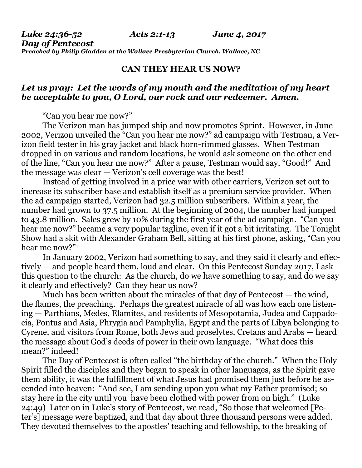## **CAN THEY HEAR US NOW?**

## *Let us pray: Let the words of my mouth and the meditation of my heart be acceptable to you, O Lord, our rock and our redeemer. Amen.*

"Can you hear me now?"

The Verizon man has jumped ship and now promotes Sprint. However, in June 2002, Verizon unveiled the "Can you hear me now?" ad campaign with Testman, a Verizon field tester in his gray jacket and black horn-rimmed glasses. When Testman dropped in on various and random locations, he would ask someone on the other end of the line, "Can you hear me now?" After a pause, Testman would say, "Good!" And the message was clear — Verizon's cell coverage was the best!

Instead of getting involved in a price war with other carriers, Verizon set out to increase its subscriber base and establish itself as a premium service provider. When the ad campaign started, Verizon had 32.5 million subscribers. Within a year, the number had grown to 37.5 million. At the beginning of 2004, the number had jumped to 43.8 million. Sales grew by 10% during the first year of the ad campaign. "Can you hear me now?" became a very popular tagline, even if it got a bit irritating. The Tonight Show had a skit with Alexander Graham Bell, sitting at his first phone, asking, "Can you hear me now?"<sup>1</sup>

In January 2002, Verizon had something to say, and they said it clearly and effectively — and people heard them, loud and clear. On this Pentecost Sunday 2017, I ask this question to the church: As the church, do we have something to say, and do we say it clearly and effectively? Can they hear us now?

Much has been written about the miracles of that day of Pentecost — the wind, the flames, the preaching. Perhaps the greatest miracle of all was how each one listening — Parthians, Medes, Elamites, and residents of Mesopotamia, Judea and Cappadocia, Pontus and Asia, Phrygia and Pamphylia, Egypt and the parts of Libya belonging to Cyrene, and visitors from Rome, both Jews and proselytes, Cretans and Arabs — heard the message about God's deeds of power in their own language. "What does this mean?" indeed!

The Day of Pentecost is often called "the birthday of the church." When the Holy Spirit filled the disciples and they began to speak in other languages, as the Spirit gave them ability, it was the fulfillment of what Jesus had promised them just before he ascended into heaven: "And see, I am sending upon you what my Father promised; so stay here in the city until you have been clothed with power from on high." (Luke 24:49) Later on in Luke's story of Pentecost, we read, "So those that welcomed [Peter's] message were baptized, and that day about three thousand persons were added. They devoted themselves to the apostles' teaching and fellowship, to the breaking of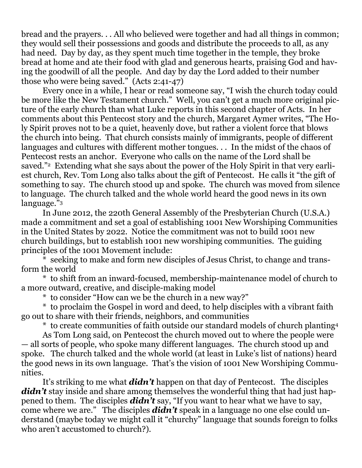bread and the prayers. . . All who believed were together and had all things in common; they would sell their possessions and goods and distribute the proceeds to all, as any had need. Day by day, as they spent much time together in the temple, they broke bread at home and ate their food with glad and generous hearts, praising God and having the goodwill of all the people. And day by day the Lord added to their number those who were being saved." (Acts 2:41-47)

Every once in a while, I hear or read someone say, "I wish the church today could be more like the New Testament church." Well, you can't get a much more original picture of the early church than what Luke reports in this second chapter of Acts. In her comments about this Pentecost story and the church, Margaret Aymer writes, "The Holy Spirit proves not to be a quiet, heavenly dove, but rather a violent force that blows the church into being. That church consists mainly of immigrants, people of different languages and cultures with different mother tongues. . . In the midst of the chaos of Pentecost rests an anchor. Everyone who calls on the name of the Lord shall be saved."2 Extending what she says about the power of the Holy Spirit in that very earliest church, Rev. Tom Long also talks about the gift of Pentecost. He calls it "the gift of something to say. The church stood up and spoke. The church was moved from silence to language. The church talked and the whole world heard the good news in its own language."<sup>3</sup>

In June 2012, the 220th General Assembly of the Presbyterian Church (U.S.A.) made a commitment and set a goal of establishing 1001 New Worshiping Communities in the United States by 2022. Notice the commitment was not to build 1001 new church buildings, but to establish 1001 new worshiping communities. The guiding principles of the 1001 Movement include:

seeking to make and form new disciples of Jesus Christ, to change and transform the world

\* to shift from an inward-focused, membership-maintenance model of church to a more outward, creative, and disciple-making model

\* to consider "How can we be the church in a new way?"

\* to proclaim the Gospel in word and deed, to help disciples with a vibrant faith go out to share with their friends, neighbors, and communities

\* to create communities of faith outside our standard models of church planting<sup>4</sup> As Tom Long said, on Pentecost the church moved out to where the people were — all sorts of people, who spoke many different languages. The church stood up and spoke. The church talked and the whole world (at least in Luke's list of nations) heard the good news in its own language. That's the vision of 1001 New Worshiping Communities.

It's striking to me what *didn't* happen on that day of Pentecost. The disciples didn't stay inside and share among themselves the wonderful thing that had just happened to them. The disciples *didn't* say, "If you want to hear what we have to say, come where we are." The disciples *didn't* speak in a language no one else could understand (maybe today we might call it "churchy" language that sounds foreign to folks who aren't accustomed to church?).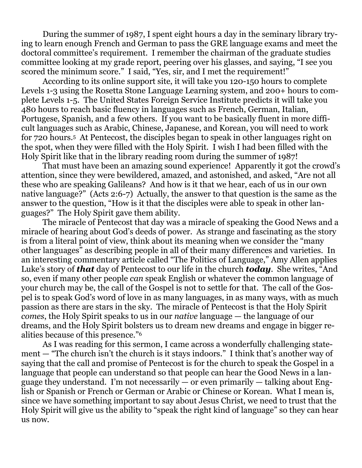During the summer of 1987, I spent eight hours a day in the seminary library trying to learn enough French and German to pass the GRE language exams and meet the doctoral committee's requirement. I remember the chairman of the graduate studies committee looking at my grade report, peering over his glasses, and saying, "I see you scored the minimum score." I said, "Yes, sir, and I met the requirement!"

According to its online support site, it will take you 120-150 hours to complete Levels 1-3 using the Rosetta Stone Language Learning system, and 200+ hours to complete Levels 1-5. The United States Foreign Service Institute predicts it will take you 480 hours to reach basic fluency in languages such as French, German, Italian, Portugese, Spanish, and a few others. If you want to be basically fluent in more difficult languages such as Arabic, Chinese, Japanese, and Korean, you will need to work for 720 hours.5 At Pentecost, the disciples began to speak in other languages right on the spot, when they were filled with the Holy Spirit. I wish I had been filled with the Holy Spirit like that in the library reading room during the summer of 1987!

That must have been an amazing sound experience! Apparently it got the crowd's attention, since they were bewildered, amazed, and astonished, and asked, "Are not all these who are speaking Galileans? And how is it that we hear, each of us in our own native language?" (Acts 2:6-7) Actually, the answer to that question is the same as the answer to the question, "How is it that the disciples were able to speak in other languages?" The Holy Spirit gave them ability.

The miracle of Pentecost that day was a miracle of speaking the Good News and a miracle of hearing about God's deeds of power. As strange and fascinating as the story is from a literal point of view, think about its meaning when we consider the "many other languages" as describing people in all of their many differences and varieties. In an interesting commentary article called "The Politics of Language," Amy Allen applies Luke's story of *that* day of Pentecost to our life in the church *today*. She writes, "And so, even if many other people *can* speak English or whatever the common language of your church may be, the call of the Gospel is not to settle for that. The call of the Gospel is to speak God's word of love in as many languages, in as many ways, with as much passion as there are stars in the sky. The miracle of Pentecost is that the Holy Spirit *comes*, the Holy Spirit speaks to us in our *native* language — the language of our dreams, and the Holy Spirit bolsters us to dream new dreams and engage in bigger realities because of this presence."<sup>6</sup>

As I was reading for this sermon, I came across a wonderfully challenging statement — "The church isn't the church is it stays indoors." I think that's another way of saying that the call and promise of Pentecost is for the church to speak the Gospel in a language that people can understand so that people can hear the Good News in a language they understand. I'm not necessarily — or even primarily — talking about English or Spanish or French or German or Arabic or Chinese or Korean. What I mean is, since we have something important to say about Jesus Christ, we need to trust that the Holy Spirit will give us the ability to "speak the right kind of language" so they can hear us now.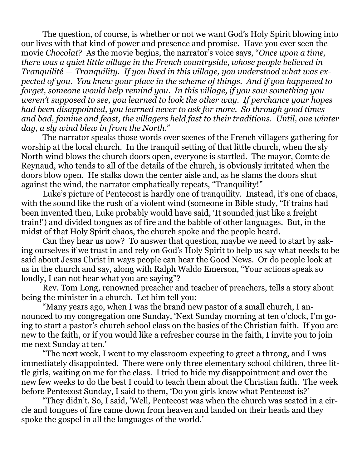The question, of course, is whether or not we want God's Holy Spirit blowing into our lives with that kind of power and presence and promise. Have you ever seen the movie *Chocolat*? As the movie begins, the narrator's voice says, "*Once upon a time, there was a quiet little village in the French countryside, whose people believed in Tranquilité — Tranquility. If you lived in this village, you understood what was expected of you. You knew your place in the scheme of things. And if you happened to forget, someone would help remind you. In this village, if you saw something you weren't supposed to see, you learned to look the other way. If perchance your hopes had been disappointed, you learned never to ask for more. So through good times and bad, famine and feast, the villagers held fast to their traditions. Until, one winter day, a sly wind blew in from the North.*"

The narrator speaks those words over scenes of the French villagers gathering for worship at the local church. In the tranquil setting of that little church, when the sly North wind blows the church doors open, everyone is startled. The mayor, Comte de Reynaud, who tends to all of the details of the church, is obviously irritated when the doors blow open. He stalks down the center aisle and, as he slams the doors shut against the wind, the narrator emphatically repeats, "Tranquility!"

Luke's picture of Pentecost is hardly one of tranquility. Instead, it's one of chaos, with the sound like the rush of a violent wind (someone in Bible study, "If trains had been invented then, Luke probably would have said, 'It sounded just like a freight train!') and divided tongues as of fire and the babble of other languages. But, in the midst of that Holy Spirit chaos, the church spoke and the people heard.

Can they hear us now? To answer that question, maybe we need to start by asking ourselves if we trust in and rely on God's Holy Spirit to help us say what needs to be said about Jesus Christ in ways people can hear the Good News. Or do people look at us in the church and say, along with Ralph Waldo Emerson, "Your actions speak so loudly, I can not hear what you are saying"?

Rev. Tom Long, renowned preacher and teacher of preachers, tells a story about being the minister in a church. Let him tell you:

"Many years ago, when I was the brand new pastor of a small church, I announced to my congregation one Sunday, 'Next Sunday morning at ten o'clock, I'm going to start a pastor's church school class on the basics of the Christian faith. If you are new to the faith, or if you would like a refresher course in the faith, I invite you to join me next Sunday at ten.'

"The next week, I went to my classroom expecting to greet a throng, and I was immediately disappointed. There were only three elementary school children, three little girls, waiting on me for the class. I tried to hide my disappointment and over the new few weeks to do the best I could to teach them about the Christian faith. The week before Pentecost Sunday, I said to them, 'Do you girls know what Pentecost is?'

"They didn't. So, I said, 'Well, Pentecost was when the church was seated in a circle and tongues of fire came down from heaven and landed on their heads and they spoke the gospel in all the languages of the world.'